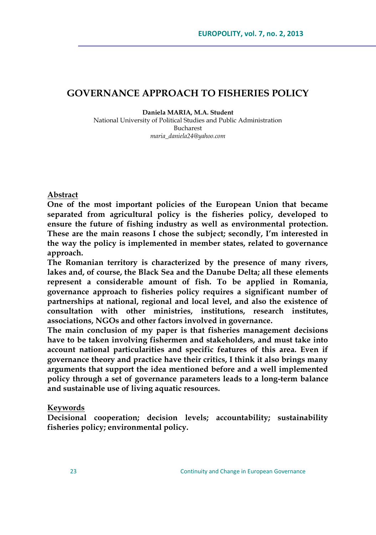# **GOVERNANCE APPROACH TO FISHERIES POLICY**

**Daniela MARIA, M.A. Student**

National University of Political Studies and Public Administration Bucharest *[maria\\_daniela24@yahoo.com](mailto:maria_daniela24@yahoo.com)*

#### **Abstract**

**One of the most important policies of the European Union that became separated from agricultural policy is the fisheries policy, developed to ensure the future of fishing industry as well as environmental protection. These are the main reasons I chose the subject; secondly, I'm interested in the way the policy is implemented in member states, related to governance approach.** 

**The Romanian territory is characterized by the presence of many rivers, lakes and, of course, the Black Sea and the Danube Delta; all these elements represent a considerable amount of fish. To be applied in Romania, governance approach to fisheries policy requires a significant number of partnerships at national, regional and local level, and also the existence of consultation with other ministries, institutions, research institutes, associations, NGOs and other factors involved in governance.** 

**The main conclusion of my paper is that fisheries management decisions have to be taken involving fishermen and stakeholders, and must take into account national particularities and specific features of this area. Even if governance theory and practice have their critics, I think it also brings many arguments that support the idea mentioned before and a well implemented policy through a set of governance parameters leads to a long-term balance and sustainable use of living aquatic resources.**

#### **Keywords**

**Decisional cooperation; decision levels; accountability; sustainability fisheries policy; environmental policy.**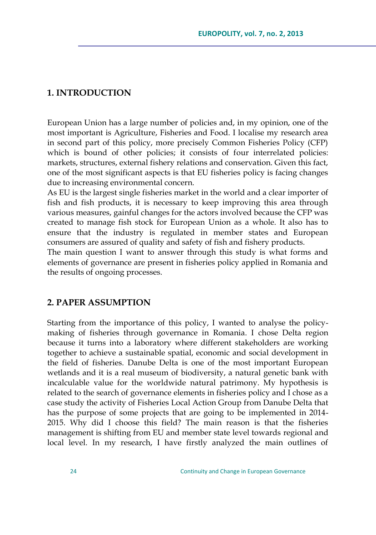## **1. INTRODUCTION**

European Union has a large number of policies and, in my opinion, one of the most important is Agriculture, Fisheries and Food. I localise my research area in second part of this policy, more precisely Common Fisheries Policy (CFP) which is bound of other policies; it consists of four interrelated policies: markets, structures, external fishery relations and conservation. Given this fact, one of the most significant aspects is that EU fisheries policy is facing changes due to increasing environmental concern.

As EU is the largest single fisheries market in the world and a clear importer of fish and fish products, it is necessary to keep improving this area through various measures, gainful changes for the actors involved because the CFP was created to manage fish stock for European Union as a whole. It also has to ensure that the industry is regulated in member states and European consumers are assured of quality and safety of fish and fishery products.

The main question I want to answer through this study is what forms and elements of governance are present in fisheries policy applied in Romania and the results of ongoing processes.

#### **2. PAPER ASSUMPTION**

Starting from the importance of this policy, I wanted to analyse the policymaking of fisheries through governance in Romania. I chose Delta region because it turns into a laboratory where different stakeholders are working together to achieve a sustainable spatial, economic and social development in the field of fisheries. Danube Delta is one of the most important European wetlands and it is a real museum of biodiversity, a natural genetic bank with incalculable value for the worldwide natural patrimony. My hypothesis is related to the search of governance elements in fisheries policy and I chose as a case study the activity of Fisheries Local Action Group from Danube Delta that has the purpose of some projects that are going to be implemented in 2014- 2015. Why did I choose this field? The main reason is that the fisheries management is shifting from EU and member state level towards regional and local level. In my research, I have firstly analyzed the main outlines of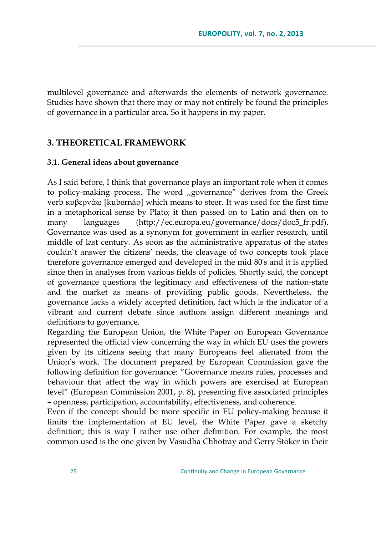multilevel governance and afterwards the elements of network governance. Studies have shown that there may or may not entirely be found the principles of governance in a particular area. So it happens in my paper.

## **3. THEORETICAL FRAMEWORK**

#### **3.1. General ideas about governance**

As I said before, I think that governance plays an important role when it comes to policy-making process. The word ,,governance" derives from the Greek verb κυβερνάω [kubernáo] which means to steer. It was used for the first time in a metaphorical sense by Plato; it then passed on to Latin and then on to many languages [\(http://ec.europa.eu/governance/docs/doc5\\_fr.pdf\)](http://ec.europa.eu/governance/docs/doc5_fr.pdf). Governance was used as a synonym for government in earlier research, until middle of last century. As soon as the administrative apparatus of the states couldn`t answer the citizens" needs, the cleavage of two concepts took place therefore governance emerged and developed in the mid 80's and it is applied since then in analyses from various fields of policies. Shortly said, the concept of governance questions the legitimacy and effectiveness of the nation-state and the market as means of providing public goods. Nevertheless, the governance lacks a widely accepted definition, fact which is the indicator of a vibrant and current debate since authors assign different meanings and definitions to governance.

Regarding the European Union, the White Paper on European Governance represented the official view concerning the way in which EU uses the powers given by its citizens seeing that many Europeans feel alienated from the Union"s work. The document prepared by European Commission gave the following definition for governance: "Governance means rules, processes and behaviour that affect the way in which powers are exercised at European level" (European Commission 2001, p. 8), presenting five associated principles – openness, participation, accountability, effectiveness, and coherence.

Even if the concept should be more specific in EU policy-making because it limits the implementation at EU level, the White Paper gave a sketchy definition; this is way I rather use other definition. For example, the most common used is the one given by Vasudha Chhotray and Gerry Stoker in their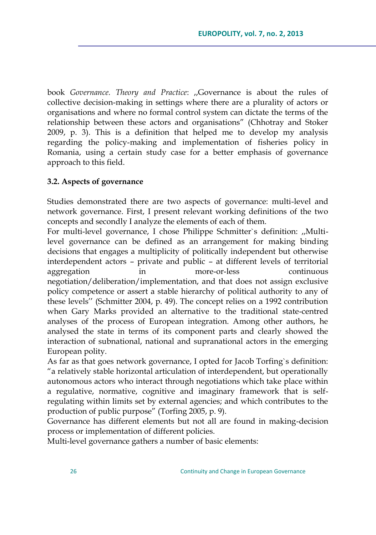book *Governance. Theory and Practice*: ,,Governance is about the rules of collective decision-making in settings where there are a plurality of actors or organisations and where no formal control system can dictate the terms of the relationship between these actors and organisations" (Chhotray and Stoker 2009, p. 3). This is a definition that helped me to develop my analysis regarding the policy-making and implementation of fisheries policy in Romania, using a certain study case for a better emphasis of governance approach to this field.

#### **3.2. Aspects of governance**

Studies demonstrated there are two aspects of governance: multi-level and network governance. First, I present relevant working definitions of the two concepts and secondly I analyze the elements of each of them.

For multi-level governance, I chose Philippe Schmitter`s definition: ,,Multilevel governance can be defined as an arrangement for making binding decisions that engages a multiplicity of politically independent but otherwise interdependent actors – private and public – at different levels of territorial aggregation in more-or-less continuous negotiation/deliberation/implementation, and that does not assign exclusive policy competence or assert a stable hierarchy of political authority to any of these levels"" (Schmitter 2004, p. 49). The concept relies on a 1992 contribution when Gary Marks provided an alternative to the traditional state-centred analyses of the process of European integration. Among other authors, he analysed the state in terms of its component parts and clearly showed the interaction of subnational, national and supranational actors in the emerging European polity.

As far as that goes network governance, I opted for Jacob Torfing`s definition: "a relatively stable horizontal articulation of interdependent, but operationally autonomous actors who interact through negotiations which take place within a regulative, normative, cognitive and imaginary framework that is selfregulating within limits set by external agencies; and which contributes to the production of public purpose" (Torfing 2005, p. 9).

Governance has different elements but not all are found in making-decision process or implementation of different policies.

Multi-level governance gathers a number of basic elements: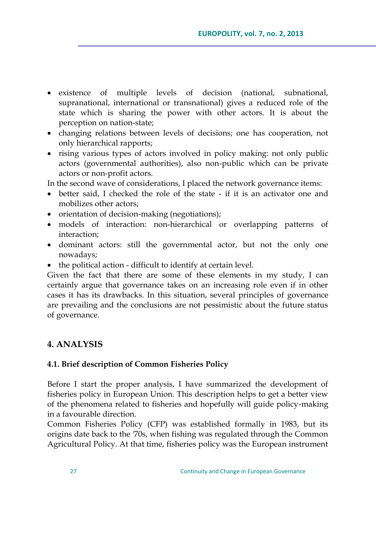- existence of multiple levels of decision (national, subnational, supranational, international or transnational) gives a reduced role of the state which is sharing the power with other actors. It is about the perception on nation-state;
- changing relations between levels of decisions; one has cooperation, not only hierarchical rapports;
- rising various types of actors involved in policy making: not only public actors (governmental authorities), also non-public which can be private actors or non-profit actors.

In the second wave of considerations, I placed the network governance items:

- better said, I checked the role of the state if it is an activator one and mobilizes other actors;
- orientation of decision-making (negotiations);
- models of interaction: non-hierarchical or overlapping patterns of interaction;
- dominant actors: still the governmental actor, but not the only one nowadays;
- the political action difficult to identify at certain level.

Given the fact that there are some of these elements in my study, I can certainly argue that governance takes on an increasing role even if in other cases it has its drawbacks. In this situation, several principles of governance are prevailing and the conclusions are not pessimistic about the future status of governance.

## **4. ANALYSIS**

#### **4.1. Brief description of Common Fisheries Policy**

Before I start the proper analysis, I have summarized the development of fisheries policy in European Union. This description helps to get a better view of the phenomena related to fisheries and hopefully will guide policy-making in a favourable direction.

Common Fisheries Policy (CFP) was established formally in 1983, but its origins date back to the '70s, when fishing was regulated through the Common Agricultural Policy. At that time, fisheries policy was the European instrument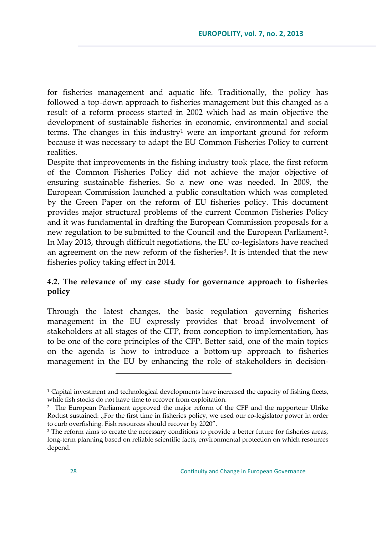for fisheries management and aquatic life. Traditionally, the policy has followed a top-down approach to fisheries management but this changed as a result of a reform process started in 2002 which had as main objective the development of sustainable fisheries in economic, environmental and social terms. The changes in this industry<sup>1</sup> were an important ground for reform because it was necessary to adapt the EU Common Fisheries Policy to current realities.

Despite that improvements in the fishing industry took place, the first reform of the Common Fisheries Policy did not achieve the major objective of ensuring sustainable fisheries. So a new one was needed. In 2009, the European Commission launched a public consultation which was completed by the Green Paper on the reform of EU fisheries policy. This document provides major structural problems of the current Common Fisheries Policy and it was fundamental in drafting the European Commission proposals for a new regulation to be submitted to the Council and the European Parliament<sup>2</sup>. In May 2013, through difficult negotiations, the EU co-legislators have reached an agreement on the new reform of the fisheries<sup>3</sup>. It is intended that the new fisheries policy taking effect in 2014.

## **4.2. The relevance of my case study for governance approach to fisheries policy**

Through the latest changes, the basic regulation governing fisheries management in the EU expressly provides that broad involvement of stakeholders at all stages of the CFP, from conception to implementation, has to be one of the core principles of the CFP. Better said, one of the main topics on the agenda is how to introduce a bottom-up approach to fisheries management in the EU by enhancing the role of stakeholders in decision-

<sup>&</sup>lt;sup>1</sup> Capital investment and technological developments have increased the capacity of fishing fleets, while fish stocks do not have time to recover from exploitation.

<sup>2</sup> The European Parliament approved the major reform of the CFP and the rapporteur Ulrike Rodust sustained: ,,For the first time in fisheries policy, we used our co-legislator power in order to curb overfishing. Fish resources should recover by 2020".

<sup>&</sup>lt;sup>3</sup> The reform aims to create the necessary conditions to provide a better future for fisheries areas, long-term planning based on reliable scientific facts, environmental protection on which resources depend.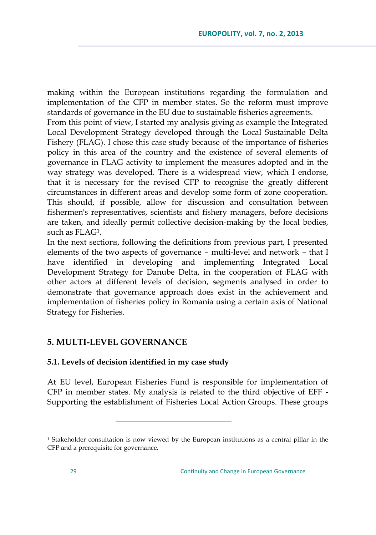making within the European institutions regarding the formulation and implementation of the CFP in member states. So the reform must improve standards of governance in the EU due to sustainable fisheries agreements.

From this point of view, I started my analysis giving as example the Integrated Local Development Strategy developed through the Local Sustainable Delta Fishery (FLAG). I chose this case study because of the importance of fisheries policy in this area of the country and the existence of several elements of governance in FLAG activity to implement the measures adopted and in the way strategy was developed. There is a widespread view, which I endorse, that it is necessary for the revised CFP to recognise the greatly different circumstances in different areas and develop some form of zone cooperation. This should, if possible, allow for discussion and consultation between fishermen's representatives, scientists and fishery managers, before decisions are taken, and ideally permit collective decision-making by the local bodies, such as FLAG<sup>1</sup> .

In the next sections, following the definitions from previous part, I presented elements of the two aspects of governance – multi-level and network – that I have identified in developing and implementing Integrated Local Development Strategy for Danube Delta, in the cooperation of FLAG with other actors at different levels of decision, segments analysed in order to demonstrate that governance approach does exist in the achievement and implementation of fisheries policy in Romania using a certain axis of National Strategy for Fisheries.

# **5. MULTI-LEVEL GOVERNANCE**

 $\overline{a}$ 

## **5.1. Levels of decision identified in my case study**

At EU level, European Fisheries Fund is responsible for implementation of CFP in member states. My analysis is related to the third objective of EFF - Supporting the establishment of Fisheries Local Action Groups. These groups

<sup>1</sup> Stakeholder consultation is now viewed by the European institutions as a central pillar in the CFP and a prerequisite for governance.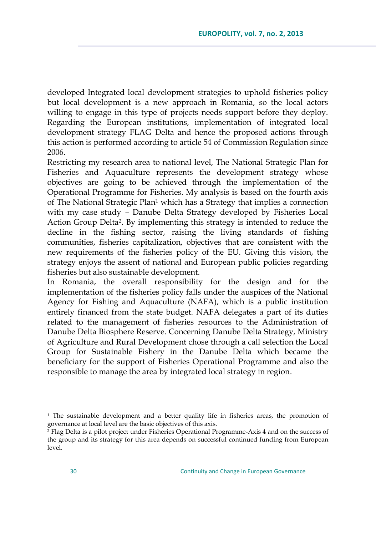developed Integrated local development strategies to uphold fisheries policy but local development is a new approach in Romania, so the local actors willing to engage in this type of projects needs support before they deploy. Regarding the European institutions, implementation of integrated local development strategy FLAG Delta and hence the proposed actions through this action is performed according to article 54 of Commission Regulation since 2006.

Restricting my research area to national level, The National Strategic Plan for Fisheries and Aquaculture represents the development strategy whose objectives are going to be achieved through the implementation of the Operational Programme for Fisheries. My analysis is based on the fourth axis of The National Strategic Plan<sup>1</sup> which has a Strategy that implies a connection with my case study – Danube Delta Strategy developed by Fisheries Local Action Group Delta<sup>2</sup>. By implementing this strategy is intended to reduce the decline in the fishing sector, raising the living standards of fishing communities, fisheries capitalization, objectives that are consistent with the new requirements of the fisheries policy of the EU. Giving this vision, the strategy enjoys the assent of national and European public policies regarding fisheries but also sustainable development.

In Romania, the overall responsibility for the design and for the implementation of the fisheries policy falls under the auspices of the National Agency for Fishing and Aquaculture (NAFA), which is a public institution entirely financed from the state budget. NAFA delegates a part of its duties related to the management of fisheries resources to the Administration of Danube Delta Biosphere Reserve. Concerning Danube Delta Strategy, Ministry of Agriculture and Rural Development chose through a call selection the Local Group for Sustainable Fishery in the Danube Delta which became the beneficiary for the support of Fisheries Operational Programme and also the responsible to manage the area by integrated local strategy in region.

<sup>&</sup>lt;sup>1</sup> The sustainable development and a better quality life in fisheries areas, the promotion of governance at local level are the basic objectives of this axis.

<sup>&</sup>lt;sup>2</sup> Flag Delta is a pilot project under Fisheries Operational Programme-Axis 4 and on the success of the group and its strategy for this area depends on successful continued funding from European level.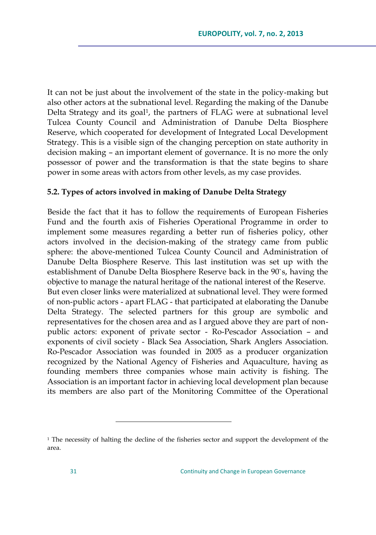It can not be just about the involvement of the state in the policy-making but also other actors at the subnational level. Regarding the making of the Danube Delta Strategy and its goal<sup>1</sup>, the partners of FLAG were at subnational level Tulcea County Council and Administration of Danube Delta Biosphere Reserve, which cooperated for development of Integrated Local Development Strategy. This is a visible sign of the changing perception on state authority in decision making – an important element of governance. It is no more the only possessor of power and the transformation is that the state begins to share power in some areas with actors from other levels, as my case provides.

#### **5.2. Types of actors involved in making of Danube Delta Strategy**

Beside the fact that it has to follow the requirements of European Fisheries Fund and the fourth axis of Fisheries Operational Programme in order to implement some measures regarding a better run of fisheries policy, other actors involved in the decision-making of the strategy came from public sphere: the above-mentioned Tulcea County Council and Administration of Danube Delta Biosphere Reserve. This last institution was set up with the establishment of Danube Delta Biosphere Reserve back in the 90`s, having the objective to manage the natural heritage of the national interest of the Reserve. But even closer links were materialized at subnational level. They were formed of non-public actors - apart FLAG - that participated at elaborating the Danube Delta Strategy. The selected partners for this group are symbolic and representatives for the chosen area and as I argued above they are part of nonpublic actors: exponent of private sector - Ro-Pescador Association – and exponents of civil society - Black Sea Association, Shark Anglers Association. Ro-Pescador Association was founded in 2005 as a producer organization recognized by the National Agency of Fisheries and Aquaculture, having as founding members three companies whose main activity is fishing. The Association is an important factor in achieving local development plan because its members are also part of the Monitoring Committee of the Operational

<sup>&</sup>lt;sup>1</sup> The necessity of halting the decline of the fisheries sector and support the development of the area.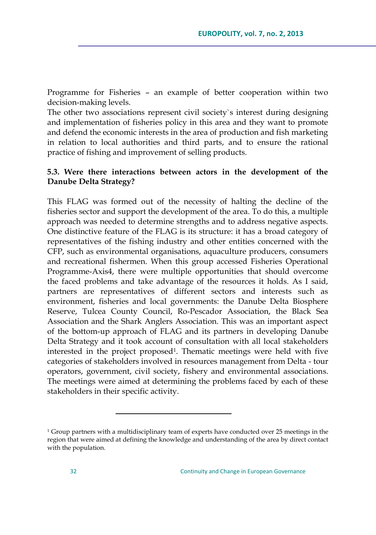Programme for Fisheries – an example of better cooperation within two decision-making levels.

The other two associations represent civil society`s interest during designing and implementation of fisheries policy in this area and they want to promote and defend the economic interests in the area of production and fish marketing in relation to local authorities and third parts, and to ensure the rational practice of fishing and improvement of selling products.

## **5.3. Were there interactions between actors in the development of the Danube Delta Strategy?**

This FLAG was formed out of the necessity of halting the decline of the fisheries sector and support the development of the area. To do this, a multiple approach was needed to determine strengths and to address negative aspects. One distinctive feature of the FLAG is its structure: it has a broad category of representatives of the fishing industry and other entities concerned with the CFP, such as environmental organisations, aquaculture producers, consumers and recreational fishermen. When this group accessed Fisheries Operational Programme-Axis4, there were multiple opportunities that should overcome the faced problems and take advantage of the resources it holds. As I said, partners are representatives of different sectors and interests such as environment, fisheries and local governments: the Danube Delta Biosphere Reserve, Tulcea County Council, Ro-Pescador Association, the Black Sea Association and the Shark Anglers Association. This was an important aspect of the bottom-up approach of FLAG and its partners in developing Danube Delta Strategy and it took account of consultation with all local stakeholders interested in the project proposed<sup>1</sup> . Thematic meetings were held with five categories of stakeholders involved in resources management from Delta - tour operators, government, civil society, fishery and environmental associations. The meetings were aimed at determining the problems faced by each of these stakeholders in their specific activity.

<sup>&</sup>lt;sup>1</sup> Group partners with a multidisciplinary team of experts have conducted over 25 meetings in the region that were aimed at defining the knowledge and understanding of the area by direct contact with the population.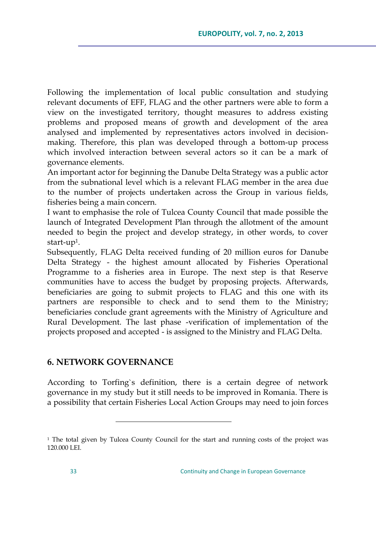Following the implementation of local public consultation and studying relevant documents of EFF, FLAG and the other partners were able to form a view on the investigated territory, thought measures to address existing problems and proposed means of growth and development of the area analysed and implemented by representatives actors involved in decisionmaking. Therefore, this plan was developed through a bottom-up process which involved interaction between several actors so it can be a mark of governance elements.

An important actor for beginning the Danube Delta Strategy was a public actor from the subnational level which is a relevant FLAG member in the area due to the number of projects undertaken across the Group in various fields, fisheries being a main concern.

I want to emphasise the role of Tulcea County Council that made possible the launch of Integrated Development Plan through the allotment of the amount needed to begin the project and develop strategy, in other words, to cover start-up $^1$ .

Subsequently, FLAG Delta received funding of 20 million euros for Danube Delta Strategy - the highest amount allocated by Fisheries Operational Programme to a fisheries area in Europe. The next step is that Reserve communities have to access the budget by proposing projects. Afterwards, beneficiaries are going to submit projects to FLAG and this one with its partners are responsible to check and to send them to the Ministry; beneficiaries conclude grant agreements with the Ministry of Agriculture and Rural Development. The last phase -verification of implementation of the projects proposed and accepted - is assigned to the Ministry and FLAG Delta.

## **6. NETWORK GOVERNANCE**

 $\overline{a}$ 

According to Torfing`s definition, there is a certain degree of network governance in my study but it still needs to be improved in Romania. There is a possibility that certain Fisheries Local Action Groups may need to join forces

<sup>&</sup>lt;sup>1</sup> The total given by Tulcea County Council for the start and running costs of the project was 120.000 LEI.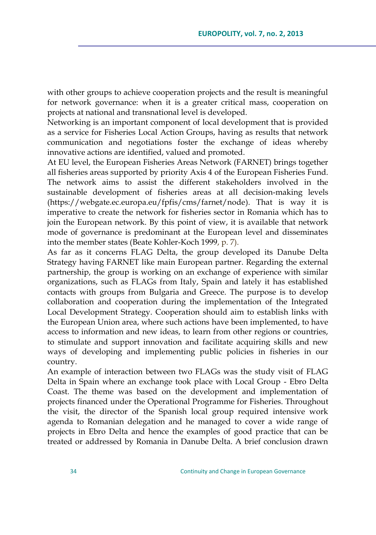with other groups to achieve cooperation projects and the result is meaningful for network governance: when it is a greater critical mass, cooperation on projects at national and transnational level is developed.

Networking is an important component of local development that is provided as a service for Fisheries Local Action Groups, having as results that network communication and negotiations foster the exchange of ideas whereby innovative actions are identified, valued and promoted.

At EU level, the European Fisheries Areas Network (FARNET) brings together all fisheries areas supported by priority Axis 4 of the European Fisheries Fund. The network aims to assist the different stakeholders involved in the sustainable development of fisheries areas at all decision-making levels [\(https://webgate.ec.europa.eu/fpfis/cms/farnet/node\)](https://webgate.ec.europa.eu/fpfis/cms/farnet/node). That is way it is imperative to create the network for fisheries sector in Romania which has to join the European network. By this point of view, it is available that network mode of governance is predominant at the European level and disseminates into the member states (Beate Kohler-Koch 1999, p. 7).

As far as it concerns FLAG Delta, the group developed its Danube Delta Strategy having FARNET like main European partner. Regarding the external partnership, the group is working on an exchange of experience with similar organizations, such as FLAGs from Italy, Spain and lately it has established contacts with groups from Bulgaria and Greece. The purpose is to develop collaboration and cooperation during the implementation of the Integrated Local Development Strategy. Cooperation should aim to establish links with the European Union area, where such actions have been implemented, to have access to information and new ideas, to learn from other regions or countries, to stimulate and support innovation and facilitate acquiring skills and new ways of developing and implementing public policies in fisheries in our country.

An example of interaction between two FLAGs was the study visit of FLAG Delta in Spain where an exchange took place with Local Group - Ebro Delta Coast. The theme was based on the development and implementation of projects financed under the Operational Programme for Fisheries. Throughout the visit, the director of the Spanish local group required intensive work agenda to Romanian delegation and he managed to cover a wide range of projects in Ebro Delta and hence the examples of good practice that can be treated or addressed by Romania in Danube Delta. A brief conclusion drawn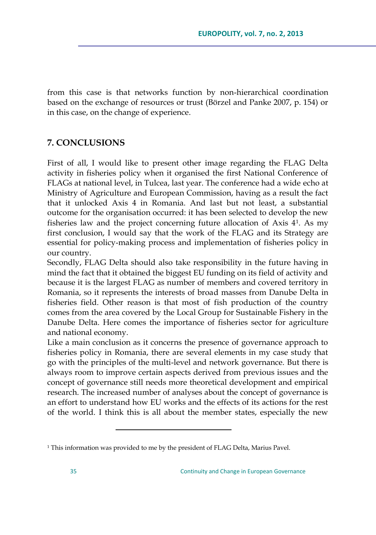from this case is that networks function by non-hierarchical coordination based on the exchange of resources or trust (Börzel and Panke 2007, p. 154) or in this case, on the change of experience.

## **7. CONCLUSIONS**

First of all, I would like to present other image regarding the FLAG Delta activity in fisheries policy when it organised the first National Conference of FLAGs at national level, in Tulcea, last year. The conference had a wide echo at Ministry of Agriculture and European Commission, having as a result the fact that it unlocked Axis 4 in Romania. And last but not least, a substantial outcome for the organisation occurred: it has been selected to develop the new fisheries law and the project concerning future allocation of Axis 4<sup>1</sup> . As my first conclusion, I would say that the work of the FLAG and its Strategy are essential for policy-making process and implementation of fisheries policy in our country.

Secondly, FLAG Delta should also take responsibility in the future having in mind the fact that it obtained the biggest EU funding on its field of activity and because it is the largest FLAG as number of members and covered territory in Romania, so it represents the interests of broad masses from Danube Delta in fisheries field. Other reason is that most of fish production of the country comes from the area covered by the Local Group for Sustainable Fishery in the Danube Delta. Here comes the importance of fisheries sector for agriculture and national economy.

Like a main conclusion as it concerns the presence of governance approach to fisheries policy in Romania, there are several elements in my case study that go with the principles of the multi-level and network governance. But there is always room to improve certain aspects derived from previous issues and the concept of governance still needs more theoretical development and empirical research. The increased number of analyses about the concept of governance is an effort to understand how EU works and the effects of its actions for the rest of the world. I think this is all about the member states, especially the new

<sup>1</sup> This information was provided to me by the president of FLAG Delta, Marius Pavel.